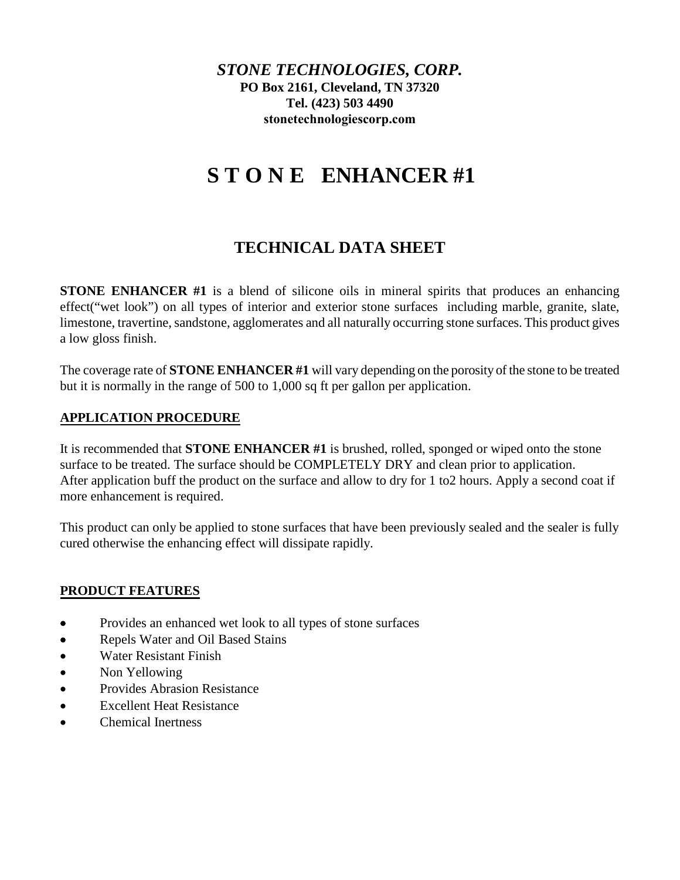*STONE TECHNOLOGIES, CORP.* **PO Box 2161, Cleveland, TN 37320 Tel. (423) 503 4490 [stonetechnologiescorp.com](http://www.stonetechnologiesinc.com/)**

# **S T O N E ENHANCER #1**

# **TECHNICAL DATA SHEET**

**STONE ENHANCER #1** is a blend of silicone oils in mineral spirits that produces an enhancing effect("wet look") on all types of interior and exterior stone surfaces including marble, granite, slate, limestone, travertine, sandstone, agglomerates and all naturally occurring stone surfaces. This product gives a low gloss finish.

The coverage rate of **STONE ENHANCER #1** will vary depending on the porosity of the stone to be treated but it is normally in the range of 500 to 1,000 sq ft per gallon per application.

# **APPLICATION PROCEDURE**

It is recommended that **STONE ENHANCER #1** is brushed, rolled, sponged or wiped onto the stone surface to be treated. The surface should be COMPLETELY DRY and clean prior to application. After application buff the product on the surface and allow to dry for 1 to2 hours. Apply a second coat if more enhancement is required.

This product can only be applied to stone surfaces that have been previously sealed and the sealer is fully cured otherwise the enhancing effect will dissipate rapidly.

# **PRODUCT FEATURES**

- Provides an enhanced wet look to all types of stone surfaces
- Repels Water and Oil Based Stains
- Water Resistant Finish
- Non Yellowing
- Provides Abrasion Resistance
- Excellent Heat Resistance
- Chemical Inertness